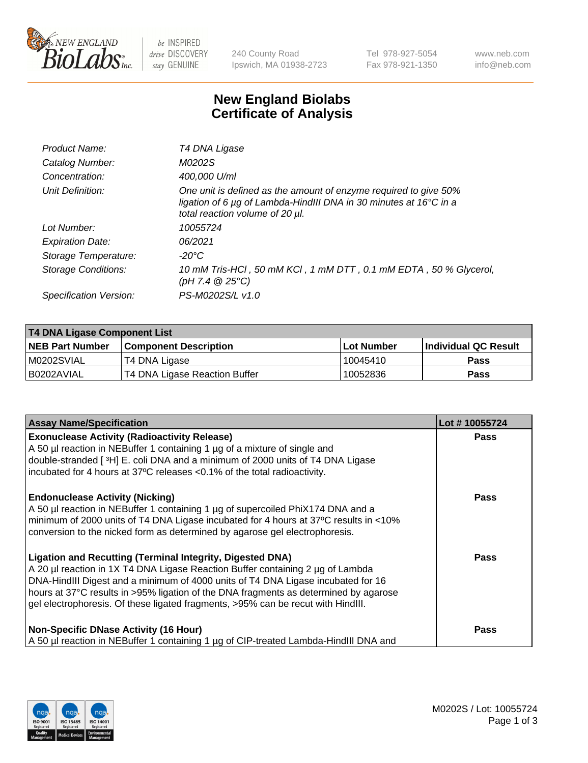

 $be$  INSPIRED drive DISCOVERY stay GENUINE

240 County Road Ipswich, MA 01938-2723 Tel 978-927-5054 Fax 978-921-1350 www.neb.com info@neb.com

## **New England Biolabs Certificate of Analysis**

| Product Name:              | T4 DNA Ligase                                                                                                                                                                           |
|----------------------------|-----------------------------------------------------------------------------------------------------------------------------------------------------------------------------------------|
| Catalog Number:            | M0202S                                                                                                                                                                                  |
| Concentration:             | 400,000 U/ml                                                                                                                                                                            |
| Unit Definition:           | One unit is defined as the amount of enzyme required to give 50%<br>ligation of 6 $\mu$ g of Lambda-HindIII DNA in 30 minutes at 16 $\degree$ C in a<br>total reaction volume of 20 µl. |
| Lot Number:                | 10055724                                                                                                                                                                                |
| <b>Expiration Date:</b>    | 06/2021                                                                                                                                                                                 |
| Storage Temperature:       | $-20^{\circ}$ C                                                                                                                                                                         |
| <b>Storage Conditions:</b> | 10 mM Tris-HCl, 50 mM KCl, 1 mM DTT, 0.1 mM EDTA, 50 % Glycerol,<br>(pH 7.4 $@25°C$ )                                                                                                   |
| Specification Version:     | PS-M0202S/L v1.0                                                                                                                                                                        |

| T4 DNA Ligase Component List |                               |            |                             |  |
|------------------------------|-------------------------------|------------|-----------------------------|--|
| <b>NEB Part Number</b>       | <b>Component Description</b>  | Lot Number | <b>Individual QC Result</b> |  |
| M0202SVIAL                   | T4 DNA Ligase                 | 10045410   | <b>Pass</b>                 |  |
| I B0202AVIAL                 | T4 DNA Ligase Reaction Buffer | 10052836   | <b>Pass</b>                 |  |

| <b>Assay Name/Specification</b>                                                                                                                                                                                                                                                                                                                                                                             | Lot #10055724 |
|-------------------------------------------------------------------------------------------------------------------------------------------------------------------------------------------------------------------------------------------------------------------------------------------------------------------------------------------------------------------------------------------------------------|---------------|
| <b>Exonuclease Activity (Radioactivity Release)</b><br>A 50 µl reaction in NEBuffer 1 containing 1 µg of a mixture of single and<br>double-stranded [3H] E. coli DNA and a minimum of 2000 units of T4 DNA Ligase<br>incubated for 4 hours at 37°C releases <0.1% of the total radioactivity.                                                                                                               | <b>Pass</b>   |
| <b>Endonuclease Activity (Nicking)</b><br>A 50 µl reaction in NEBuffer 1 containing 1 µg of supercoiled PhiX174 DNA and a<br>minimum of 2000 units of T4 DNA Ligase incubated for 4 hours at 37°C results in <10%<br>conversion to the nicked form as determined by agarose gel electrophoresis.                                                                                                            | <b>Pass</b>   |
| Ligation and Recutting (Terminal Integrity, Digested DNA)<br>A 20 µl reaction in 1X T4 DNA Ligase Reaction Buffer containing 2 µg of Lambda<br>DNA-HindIII Digest and a minimum of 4000 units of T4 DNA Ligase incubated for 16<br>hours at 37°C results in >95% ligation of the DNA fragments as determined by agarose<br>gel electrophoresis. Of these ligated fragments, >95% can be recut with HindIII. | <b>Pass</b>   |
| Non-Specific DNase Activity (16 Hour)<br>A 50 µl reaction in NEBuffer 1 containing 1 µg of CIP-treated Lambda-HindIII DNA and                                                                                                                                                                                                                                                                               | Pass          |

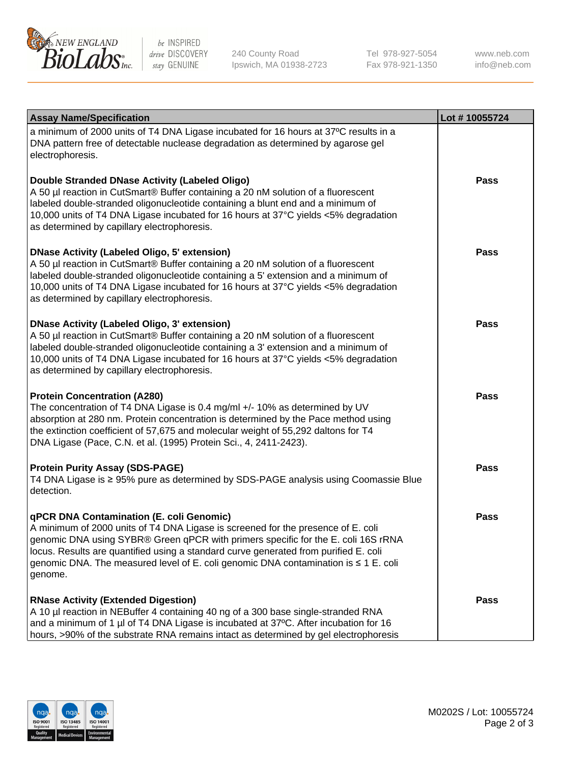

be INSPIRED drive DISCOVERY stay GENUINE

240 County Road Ipswich, MA 01938-2723 Tel 978-927-5054 Fax 978-921-1350

www.neb.com info@neb.com

| <b>Assay Name/Specification</b>                                                                                                                                                                                                                                                                                                                                                                             | Lot #10055724 |
|-------------------------------------------------------------------------------------------------------------------------------------------------------------------------------------------------------------------------------------------------------------------------------------------------------------------------------------------------------------------------------------------------------------|---------------|
| a minimum of 2000 units of T4 DNA Ligase incubated for 16 hours at 37°C results in a<br>DNA pattern free of detectable nuclease degradation as determined by agarose gel<br>electrophoresis.                                                                                                                                                                                                                |               |
| Double Stranded DNase Activity (Labeled Oligo)<br>A 50 µl reaction in CutSmart® Buffer containing a 20 nM solution of a fluorescent<br>labeled double-stranded oligonucleotide containing a blunt end and a minimum of<br>10,000 units of T4 DNA Ligase incubated for 16 hours at 37°C yields <5% degradation<br>as determined by capillary electrophoresis.                                                | <b>Pass</b>   |
| <b>DNase Activity (Labeled Oligo, 5' extension)</b><br>A 50 µl reaction in CutSmart® Buffer containing a 20 nM solution of a fluorescent<br>labeled double-stranded oligonucleotide containing a 5' extension and a minimum of<br>10,000 units of T4 DNA Ligase incubated for 16 hours at 37°C yields <5% degradation<br>as determined by capillary electrophoresis.                                        | <b>Pass</b>   |
| <b>DNase Activity (Labeled Oligo, 3' extension)</b><br>A 50 µl reaction in CutSmart® Buffer containing a 20 nM solution of a fluorescent<br>labeled double-stranded oligonucleotide containing a 3' extension and a minimum of<br>10,000 units of T4 DNA Ligase incubated for 16 hours at 37°C yields <5% degradation<br>as determined by capillary electrophoresis.                                        | <b>Pass</b>   |
| <b>Protein Concentration (A280)</b><br>The concentration of T4 DNA Ligase is 0.4 mg/ml +/- 10% as determined by UV<br>absorption at 280 nm. Protein concentration is determined by the Pace method using<br>the extinction coefficient of 57,675 and molecular weight of 55,292 daltons for T4<br>DNA Ligase (Pace, C.N. et al. (1995) Protein Sci., 4, 2411-2423).                                         | <b>Pass</b>   |
| <b>Protein Purity Assay (SDS-PAGE)</b><br>T4 DNA Ligase is ≥ 95% pure as determined by SDS-PAGE analysis using Coomassie Blue<br>detection.                                                                                                                                                                                                                                                                 | <b>Pass</b>   |
| qPCR DNA Contamination (E. coli Genomic)<br>A minimum of 2000 units of T4 DNA Ligase is screened for the presence of E. coli<br>genomic DNA using SYBR® Green qPCR with primers specific for the E. coli 16S rRNA<br>locus. Results are quantified using a standard curve generated from purified E. coli<br>genomic DNA. The measured level of E. coli genomic DNA contamination is ≤ 1 E. coli<br>genome. | Pass          |
| <b>RNase Activity (Extended Digestion)</b><br>A 10 µl reaction in NEBuffer 4 containing 40 ng of a 300 base single-stranded RNA<br>and a minimum of 1 µl of T4 DNA Ligase is incubated at 37°C. After incubation for 16<br>hours, >90% of the substrate RNA remains intact as determined by gel electrophoresis                                                                                             | Pass          |